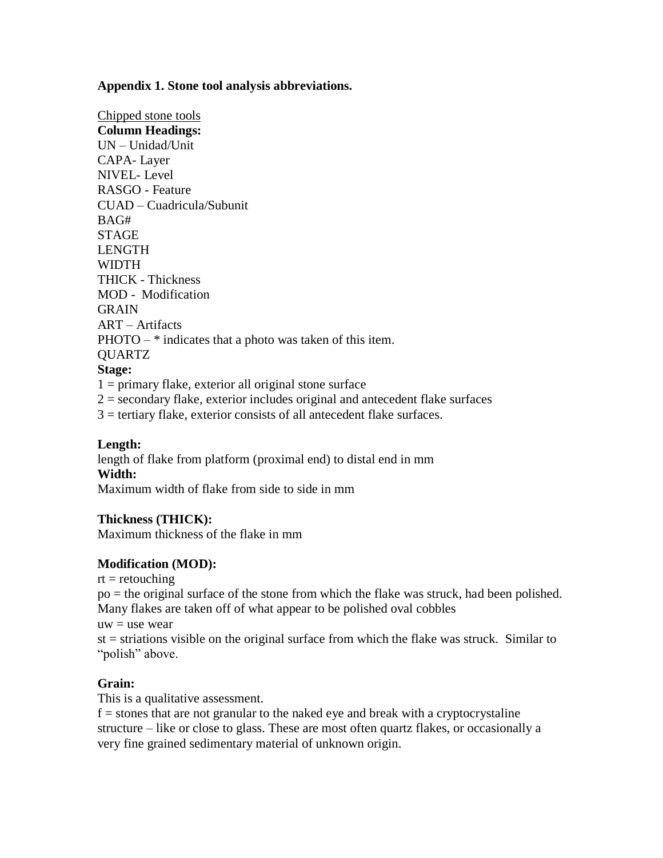**Appendix 1. Stone tool analysis abbreviations.**

Chipped stone tools **Column Headings:** UN – Unidad/Unit CAPA- Layer NIVEL- Level RASGO - Feature CUAD – Cuadricula/Subunit BAG# **STAGE** LENGTH **WIDTH** THICK - Thickness MOD - Modification **GRAIN** ART – Artifacts PHOTO – \* indicates that a photo was taken of this item. QUARTZ **Stage:**  $1 =$  primary flake, exterior all original stone surface  $2 =$  secondary flake, exterior includes original and antecedent flake surfaces

 $3$  = tertiary flake, exterior consists of all antecedent flake surfaces.

## **Length:**

length of flake from platform (proximal end) to distal end in mm **Width:**

Maximum width of flake from side to side in mm

#### **Thickness (THICK):**

Maximum thickness of the flake in mm

#### **Modification (MOD):**

 $rt =$  retouching

po = the original surface of the stone from which the flake was struck, had been polished. Many flakes are taken off of what appear to be polished oval cobbles

 $uw =$ use wear

st = striations visible on the original surface from which the flake was struck. Similar to "polish" above.

#### **Grain:**

This is a qualitative assessment.

 $f =$  stones that are not granular to the naked eye and break with a cryptocrystaline structure – like or close to glass. These are most often quartz flakes, or occasionally a very fine grained sedimentary material of unknown origin.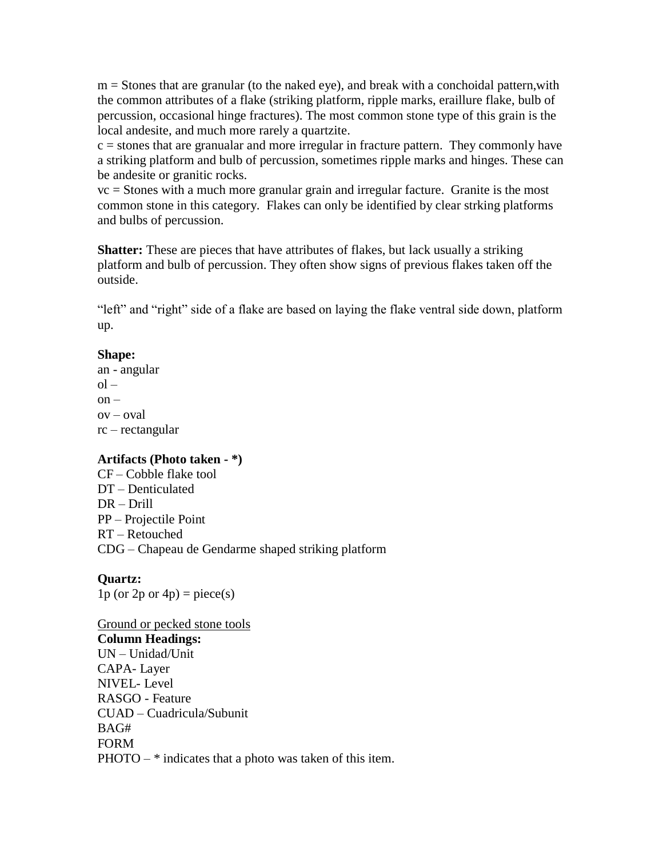$m =$  Stones that are granular (to the naked eye), and break with a conchoidal pattern, with the common attributes of a flake (striking platform, ripple marks, eraillure flake, bulb of percussion, occasional hinge fractures). The most common stone type of this grain is the local andesite, and much more rarely a quartzite.

 $c =$  stones that are granualar and more irregular in fracture pattern. They commonly have a striking platform and bulb of percussion, sometimes ripple marks and hinges. These can be andesite or granitic rocks.

vc = Stones with a much more granular grain and irregular facture. Granite is the most common stone in this category. Flakes can only be identified by clear strking platforms and bulbs of percussion.

**Shatter:** These are pieces that have attributes of flakes, but lack usually a striking platform and bulb of percussion. They often show signs of previous flakes taken off the outside.

"left" and "right" side of a flake are based on laying the flake ventral side down, platform up.

#### **Shape:**

an - angular  $ol$  $on$  $ov - oval$ rc – rectangular

## **Artifacts (Photo taken - \*)**

CF – Cobble flake tool DT – Denticulated DR – Drill PP – Projectile Point RT – Retouched CDG – Chapeau de Gendarme shaped striking platform

## **Quartz:**

1p (or  $2p$  or  $4p$ ) = piece(s)

## Ground or pecked stone tools

#### **Column Headings:**

UN – Unidad/Unit CAPA- Layer NIVEL- Level RASGO - Feature CUAD – Cuadricula/Subunit BAG# FORM PHOTO – \* indicates that a photo was taken of this item.